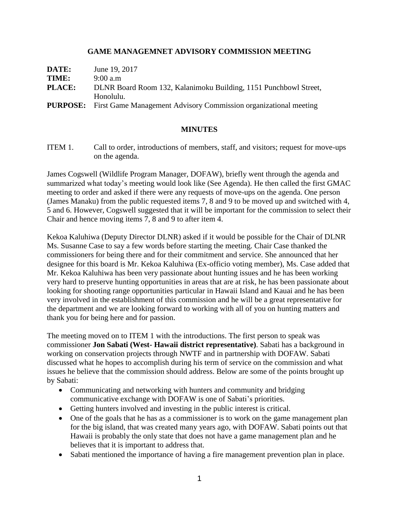### **GAME MANAGEMNET ADVISORY COMMISSION MEETING**

| DATE:         | June 19, 2017                                                                    |
|---------------|----------------------------------------------------------------------------------|
| TIME:         | $9:00$ a.m                                                                       |
| <b>PLACE:</b> | DLNR Board Room 132, Kalanimoku Building, 1151 Punchbowl Street,                 |
|               | Honolulu.                                                                        |
|               | <b>PURPOSE:</b> First Game Management Advisory Commission organizational meeting |

### **MINUTES**

ITEM 1. Call to order, introductions of members, staff, and visitors; request for move-ups on the agenda.

James Cogswell (Wildlife Program Manager, DOFAW), briefly went through the agenda and summarized what today's meeting would look like (See Agenda). He then called the first GMAC meeting to order and asked if there were any requests of move-ups on the agenda. One person (James Manaku) from the public requested items 7, 8 and 9 to be moved up and switched with 4, 5 and 6. However, Cogswell suggested that it will be important for the commission to select their Chair and hence moving items 7, 8 and 9 to after item 4.

Kekoa Kaluhiwa (Deputy Director DLNR) asked if it would be possible for the Chair of DLNR Ms. Susanne Case to say a few words before starting the meeting. Chair Case thanked the commissioners for being there and for their commitment and service. She announced that her designee for this board is Mr. Kekoa Kaluhiwa (Ex-officio voting member), Ms. Case added that Mr. Kekoa Kaluhiwa has been very passionate about hunting issues and he has been working very hard to preserve hunting opportunities in areas that are at risk, he has been passionate about looking for shooting range opportunities particular in Hawaii Island and Kauai and he has been very involved in the establishment of this commission and he will be a great representative for the department and we are looking forward to working with all of you on hunting matters and thank you for being here and for passion.

The meeting moved on to ITEM 1 with the introductions. The first person to speak was commissioner **Jon Sabati (West- Hawaii district representative)**. Sabati has a background in working on conservation projects through NWTF and in partnership with DOFAW. Sabati discussed what he hopes to accomplish during his term of service on the commission and what issues he believe that the commission should address. Below are some of the points brought up by Sabati:

- Communicating and networking with hunters and community and bridging communicative exchange with DOFAW is one of Sabati's priorities.
- Getting hunters involved and investing in the public interest is critical.
- One of the goals that he has as a commissioner is to work on the game management plan for the big island, that was created many years ago, with DOFAW. Sabati points out that Hawaii is probably the only state that does not have a game management plan and he believes that it is important to address that.
- Sabati mentioned the importance of having a fire management prevention plan in place.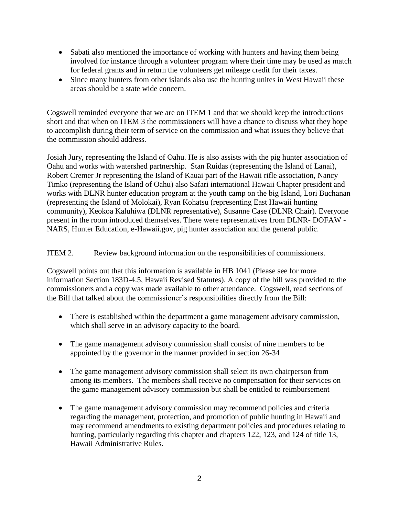- Sabati also mentioned the importance of working with hunters and having them being involved for instance through a volunteer program where their time may be used as match for federal grants and in return the volunteers get mileage credit for their taxes.
- Since many hunters from other islands also use the hunting unites in West Hawaii these areas should be a state wide concern.

Cogswell reminded everyone that we are on ITEM 1 and that we should keep the introductions short and that when on ITEM 3 the commissioners will have a chance to discuss what they hope to accomplish during their term of service on the commission and what issues they believe that the commission should address.

Josiah Jury, representing the Island of Oahu. He is also assists with the pig hunter association of Oahu and works with watershed partnership. Stan Ruidas (representing the Island of Lanai), Robert Cremer Jr representing the Island of Kauai part of the Hawaii rifle association, Nancy Timko (representing the Island of Oahu) also Safari international Hawaii Chapter president and works with DLNR hunter education program at the youth camp on the big Island, Lori Buchanan (representing the Island of Molokai), Ryan Kohatsu (representing East Hawaii hunting community), Keokoa Kaluhiwa (DLNR representative), Susanne Case (DLNR Chair). Everyone present in the room introduced themselves. There were representatives from DLNR- DOFAW - NARS, Hunter Education, e-Hawaii.gov, pig hunter association and the general public.

### ITEM 2. Review background information on the responsibilities of commissioners.

Cogswell points out that this information is available in HB 1041 (Please see for more information Section 183D-4.5, Hawaii Revised Statutes). A copy of the bill was provided to the commissioners and a copy was made available to other attendance. Cogswell, read sections of the Bill that talked about the commissioner's responsibilities directly from the Bill:

- There is established within the department a game management advisory commission, which shall serve in an advisory capacity to the board.
- The game management advisory commission shall consist of nine members to be appointed by the governor in the manner provided in section 26-34
- The game management advisory commission shall select its own chairperson from among its members. The members shall receive no compensation for their services on the game management advisory commission but shall be entitled to reimbursement
- The game management advisory commission may recommend policies and criteria regarding the management, protection, and promotion of public hunting in Hawaii and may recommend amendments to existing department policies and procedures relating to hunting, particularly regarding this chapter and chapters 122, 123, and 124 of title 13, Hawaii Administrative Rules.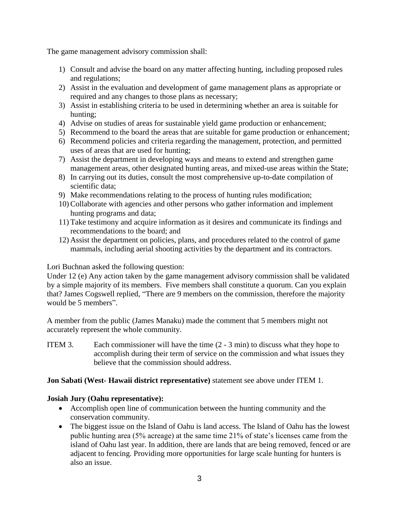The game management advisory commission shall:

- 1) Consult and advise the board on any matter affecting hunting, including proposed rules and regulations;
- 2) Assist in the evaluation and development of game management plans as appropriate or required and any changes to those plans as necessary;
- 3) Assist in establishing criteria to be used in determining whether an area is suitable for hunting;
- 4) Advise on studies of areas for sustainable yield game production or enhancement;
- 5) Recommend to the board the areas that are suitable for game production or enhancement;
- 6) Recommend policies and criteria regarding the management, protection, and permitted uses of areas that are used for hunting;
- 7) Assist the department in developing ways and means to extend and strengthen game management areas, other designated hunting areas, and mixed-use areas within the State;
- 8) In carrying out its duties, consult the most comprehensive up-to-date compilation of scientific data;
- 9) Make recommendations relating to the process of hunting rules modification;
- 10)Collaborate with agencies and other persons who gather information and implement hunting programs and data;
- 11) Take testimony and acquire information as it desires and communicate its findings and recommendations to the board; and
- 12) Assist the department on policies, plans, and procedures related to the control of game mammals, including aerial shooting activities by the department and its contractors.

Lori Buchnan asked the following question:

Under 12 (e) Any action taken by the game management advisory commission shall be validated by a simple majority of its members. Five members shall constitute a quorum. Can you explain that? James Cogswell replied, "There are 9 members on the commission, therefore the majority would be 5 members".

A member from the public (James Manaku) made the comment that 5 members might not accurately represent the whole community.

ITEM 3. Each commissioner will have the time (2 - 3 min) to discuss what they hope to accomplish during their term of service on the commission and what issues they believe that the commission should address.

## **Jon Sabati (West- Hawaii district representative)** statement see above under ITEM 1.

## **Josiah Jury (Oahu representative):**

- Accomplish open line of communication between the hunting community and the conservation community.
- The biggest issue on the Island of Oahu is land access. The Island of Oahu has the lowest public hunting area (5% acreage) at the same time 21% of state's licenses came from the island of Oahu last year. In addition, there are lands that are being removed, fenced or are adjacent to fencing. Providing more opportunities for large scale hunting for hunters is also an issue.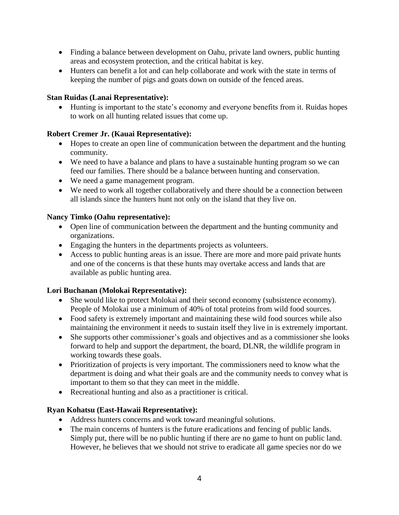- Finding a balance between development on Oahu, private land owners, public hunting areas and ecosystem protection, and the critical habitat is key.
- Hunters can benefit a lot and can help collaborate and work with the state in terms of keeping the number of pigs and goats down on outside of the fenced areas.

## **Stan Ruidas (Lanai Representative):**

• Hunting is important to the state's economy and everyone benefits from it. Ruidas hopes to work on all hunting related issues that come up.

# **Robert Cremer Jr. (Kauai Representative):**

- Hopes to create an open line of communication between the department and the hunting community.
- We need to have a balance and plans to have a sustainable hunting program so we can feed our families. There should be a balance between hunting and conservation.
- We need a game management program.
- We need to work all together collaboratively and there should be a connection between all islands since the hunters hunt not only on the island that they live on.

## **Nancy Timko (Oahu representative):**

- Open line of communication between the department and the hunting community and organizations.
- Engaging the hunters in the departments projects as volunteers.
- Access to public hunting areas is an issue. There are more and more paid private hunts and one of the concerns is that these hunts may overtake access and lands that are available as public hunting area.

## **Lori Buchanan (Molokai Representative):**

- She would like to protect Molokai and their second economy (subsistence economy). People of Molokai use a minimum of 40% of total proteins from wild food sources.
- Food safety is extremely important and maintaining these wild food sources while also maintaining the environment it needs to sustain itself they live in is extremely important.
- She supports other commissioner's goals and objectives and as a commissioner she looks forward to help and support the department, the board, DLNR, the wildlife program in working towards these goals.
- Prioritization of projects is very important. The commissioners need to know what the department is doing and what their goals are and the community needs to convey what is important to them so that they can meet in the middle.
- Recreational hunting and also as a practitioner is critical.

# **Ryan Kohatsu (East-Hawaii Representative):**

- Address hunters concerns and work toward meaningful solutions.
- The main concerns of hunters is the future eradications and fencing of public lands. Simply put, there will be no public hunting if there are no game to hunt on public land. However, he believes that we should not strive to eradicate all game species nor do we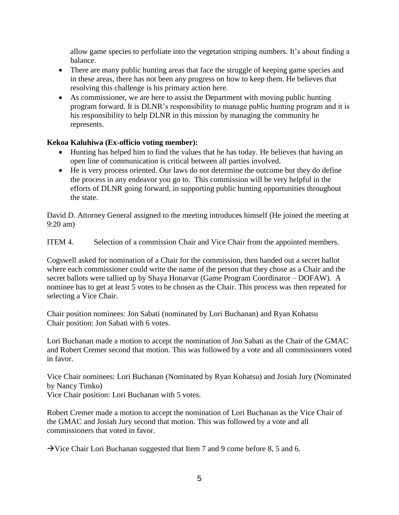allow game species to perfoliate into the vegetation striping numbers. It's about finding a balance.

- There are many public hunting areas that face the struggle of keeping game species and in these areas, there has not been any progress on how to keep them. He believes that resolving this challenge is his primary action here.
- As commissioner, we are here to assist the Department with moving public hunting program forward. It is DLNR's responsibility to manage public hunting program and it is his responsibility to help DLNR in this mission by managing the community he represents.

## **Kekoa Kaluhiwa (Ex-officio voting member):**

- Hunting has helped him to find the values that he has today. He believes that having an open line of communication is critical between all parties involved.
- He is very process oriented. Our laws do not determine the outcome but they do define the process in any endeavor you go to. This commission will be very helpful in the efforts of DLNR going forward, in supporting public hunting opportunities throughout the state.

David D. Attorney General assigned to the meeting introduces himself (He joined the meeting at 9:20 am)

ITEM 4. Selection of a commission Chair and Vice Chair from the appointed members.

Cogswell asked for nomination of a Chair for the commission, then handed out a secret ballot where each commissioner could write the name of the person that they chose as a Chair and the secret ballots were tallied up by Shaya Honarvar (Game Program Coordinator – DOFAW). A nominee has to get at least 5 votes to be chosen as the Chair. This process was then repeated for selecting a Vice Chair.

Chair position nominees: Jon Sabati (nominated by Lori Buchanan) and Ryan Kohatsu Chair position: Jon Sabati with 6 votes.

Lori Buchanan made a motion to accept the nomination of Jon Sabati as the Chair of the GMAC and Robert Cremer second that motion. This was followed by a vote and all commissioners voted in favor.

Vice Chair nominees: Lori Buchanan (Nominated by Ryan Kohatsu) and Josiah Jury (Nominated by Nancy Timko) Vice Chair position: Lori Buchanan with 5 votes.

Robert Cremer made a motion to accept the nomination of Lori Buchanan as the Vice Chair of the GMAC and Josiah Jury second that motion. This was followed by a vote and all commissioners that voted in favor.

 $\rightarrow$  Vice Chair Lori Buchanan suggested that Item 7 and 9 come before 8, 5 and 6.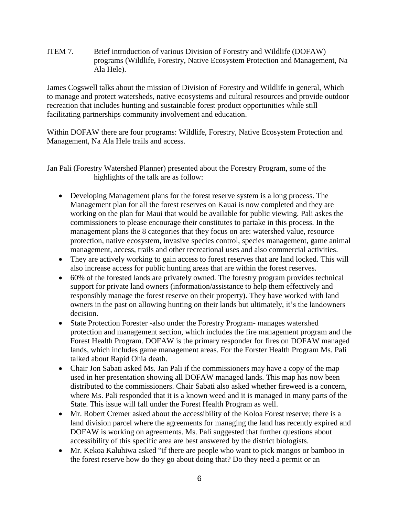ITEM 7. Brief introduction of various Division of Forestry and Wildlife (DOFAW) programs (Wildlife, Forestry, Native Ecosystem Protection and Management, Na Ala Hele).

James Cogswell talks about the mission of Division of Forestry and Wildlife in general, Which to manage and protect watersheds, native ecosystems and cultural resources and provide outdoor recreation that includes hunting and sustainable forest product opportunities while still facilitating partnerships community involvement and education.

Within DOFAW there are four programs: Wildlife, Forestry, Native Ecosystem Protection and Management, Na Ala Hele trails and access.

Jan Pali (Forestry Watershed Planner) presented about the Forestry Program, some of the highlights of the talk are as follow:

- Developing Management plans for the forest reserve system is a long process. The Management plan for all the forest reserves on Kauai is now completed and they are working on the plan for Maui that would be available for public viewing. Pali askes the commissioners to please encourage their constitutes to partake in this process. In the management plans the 8 categories that they focus on are: watershed value, resource protection, native ecosystem, invasive species control, species management, game animal management, access, trails and other recreational uses and also commercial activities.
- They are actively working to gain access to forest reserves that are land locked. This will also increase access for public hunting areas that are within the forest reserves.
- 60% of the forested lands are privately owned. The forestry program provides technical support for private land owners (information/assistance to help them effectively and responsibly manage the forest reserve on their property). They have worked with land owners in the past on allowing hunting on their lands but ultimately, it's the landowners decision.
- State Protection Forester -also under the Forestry Program- manages watershed protection and management section, which includes the fire management program and the Forest Health Program. DOFAW is the primary responder for fires on DOFAW managed lands, which includes game management areas. For the Forster Health Program Ms. Pali talked about Rapid Ohia death.
- Chair Jon Sabati asked Ms. Jan Pali if the commissioners may have a copy of the map used in her presentation showing all DOFAW managed lands. This map has now been distributed to the commissioners. Chair Sabati also asked whether fireweed is a concern, where Ms. Pali responded that it is a known weed and it is managed in many parts of the State. This issue will fall under the Forest Health Program as well.
- Mr. Robert Cremer asked about the accessibility of the Koloa Forest reserve; there is a land division parcel where the agreements for managing the land has recently expired and DOFAW is working on agreements. Ms. Pali suggested that further questions about accessibility of this specific area are best answered by the district biologists.
- Mr. Kekoa Kaluhiwa asked "if there are people who want to pick mangos or bamboo in the forest reserve how do they go about doing that? Do they need a permit or an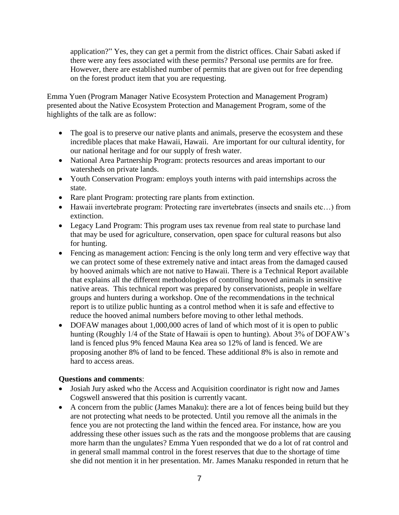application?" Yes, they can get a permit from the district offices. Chair Sabati asked if there were any fees associated with these permits? Personal use permits are for free. However, there are established number of permits that are given out for free depending on the forest product item that you are requesting.

Emma Yuen (Program Manager Native Ecosystem Protection and Management Program) presented about the Native Ecosystem Protection and Management Program, some of the highlights of the talk are as follow:

- The goal is to preserve our native plants and animals, preserve the ecosystem and these incredible places that make Hawaii, Hawaii. Are important for our cultural identity, for our national heritage and for our supply of fresh water.
- National Area Partnership Program: protects resources and areas important to our watersheds on private lands.
- Youth Conservation Program: employs youth interns with paid internships across the state.
- Rare plant Program: protecting rare plants from extinction.
- Hawaii invertebrate program: Protecting rare invertebrates (insects and snails etc...) from extinction.
- Legacy Land Program: This program uses tax revenue from real state to purchase land that may be used for agriculture, conservation, open space for cultural reasons but also for hunting.
- Fencing as management action: Fencing is the only long term and very effective way that we can protect some of these extremely native and intact areas from the damaged caused by hooved animals which are not native to Hawaii. There is a Technical Report available that explains all the different methodologies of controlling hooved animals in sensitive native areas. This technical report was prepared by conservationists, people in welfare groups and hunters during a workshop. One of the recommendations in the technical report is to utilize public hunting as a control method when it is safe and effective to reduce the hooved animal numbers before moving to other lethal methods.
- DOFAW manages about 1,000,000 acres of land of which most of it is open to public hunting (Roughly 1/4 of the State of Hawaii is open to hunting). About 3% of DOFAW's land is fenced plus 9% fenced Mauna Kea area so 12% of land is fenced. We are proposing another 8% of land to be fenced. These additional 8% is also in remote and hard to access areas.

## **Questions and comments**:

- Josiah Jury asked who the Access and Acquisition coordinator is right now and James Cogswell answered that this position is currently vacant.
- A concern from the public (James Manaku): there are a lot of fences being build but they are not protecting what needs to be protected. Until you remove all the animals in the fence you are not protecting the land within the fenced area. For instance, how are you addressing these other issues such as the rats and the mongoose problems that are causing more harm than the ungulates? Emma Yuen responded that we do a lot of rat control and in general small mammal control in the forest reserves that due to the shortage of time she did not mention it in her presentation. Mr. James Manaku responded in return that he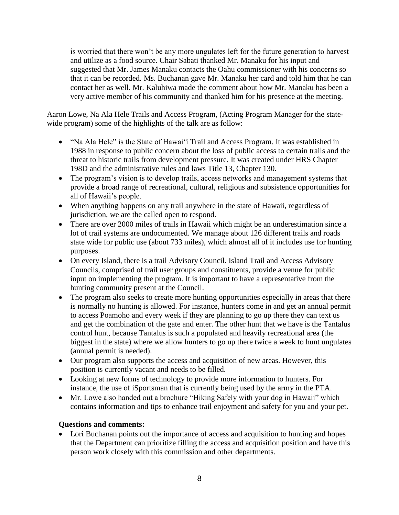is worried that there won't be any more ungulates left for the future generation to harvest and utilize as a food source. Chair Sabati thanked Mr. Manaku for his input and suggested that Mr. James Manaku contacts the Oahu commissioner with his concerns so that it can be recorded. Ms. Buchanan gave Mr. Manaku her card and told him that he can contact her as well. Mr. Kaluhiwa made the comment about how Mr. Manaku has been a very active member of his community and thanked him for his presence at the meeting.

Aaron Lowe, Na Ala Hele Trails and Access Program, (Acting Program Manager for the statewide program) some of the highlights of the talk are as follow:

- "Na Ala Hele" is the State of Hawai'i Trail and Access Program. It was established in 1988 in response to public concern about the loss of public access to certain trails and the threat to historic trails from development pressure. It was created under HRS Chapter 198D and the administrative rules and laws Title 13, Chapter 130.
- The program's vision is to develop trails, access networks and management systems that provide a broad range of recreational, cultural, religious and subsistence opportunities for all of Hawaii's people.
- When anything happens on any trail anywhere in the state of Hawaii, regardless of jurisdiction, we are the called open to respond.
- There are over 2000 miles of trails in Hawaii which might be an underestimation since a lot of trail systems are undocumented. We manage about 126 different trails and roads state wide for public use (about 733 miles), which almost all of it includes use for hunting purposes.
- On every Island, there is a trail Advisory Council. Island Trail and Access Advisory Councils, comprised of trail user groups and constituents, provide a venue for public input on implementing the program. It is important to have a representative from the hunting community present at the Council.
- The program also seeks to create more hunting opportunities especially in areas that there is normally no hunting is allowed. For instance, hunters come in and get an annual permit to access Poamoho and every week if they are planning to go up there they can text us and get the combination of the gate and enter. The other hunt that we have is the Tantalus control hunt, because Tantalus is such a populated and heavily recreational area (the biggest in the state) where we allow hunters to go up there twice a week to hunt ungulates (annual permit is needed).
- Our program also supports the access and acquisition of new areas. However, this position is currently vacant and needs to be filled.
- Looking at new forms of technology to provide more information to hunters. For instance, the use of iSportsman that is currently being used by the army in the PTA.
- Mr. Lowe also handed out a brochure "Hiking Safely with your dog in Hawaii" which contains information and tips to enhance trail enjoyment and safety for you and your pet.

## **Questions and comments:**

Lori Buchanan points out the importance of access and acquisition to hunting and hopes that the Department can prioritize filling the access and acquisition position and have this person work closely with this commission and other departments.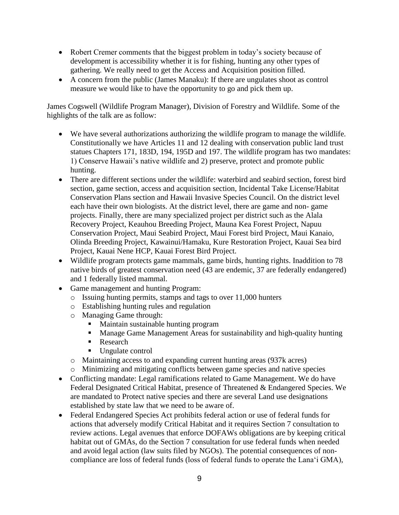- Robert Cremer comments that the biggest problem in today's society because of development is accessibility whether it is for fishing, hunting any other types of gathering. We really need to get the Access and Acquisition position filled.
- A concern from the public (James Manaku): If there are ungulates shoot as control measure we would like to have the opportunity to go and pick them up.

James Cogswell (Wildlife Program Manager), Division of Forestry and Wildlife. Some of the highlights of the talk are as follow:

- We have several authorizations authorizing the wildlife program to manage the wildlife. Constitutionally we have Articles 11 and 12 dealing with conservation public land trust statues Chapters 171, 183D, 194, 195D and 197. The wildlife program has two mandates: 1) Conserve Hawaii's native wildlife and 2) preserve, protect and promote public hunting.
- There are different sections under the wildlife: waterbird and seabird section, forest bird section, game section, access and acquisition section, Incidental Take License/Habitat Conservation Plans section and Hawaii Invasive Species Council. On the district level each have their own biologists. At the district level, there are game and non- game projects. Finally, there are many specialized project per district such as the Alala Recovery Project, Keauhou Breeding Project, Mauna Kea Forest Project, Napuu Conservation Project, Maui Seabird Project, Maui Forest bird Project, Maui Kanaio, Olinda Breeding Project, Kawainui/Hamaku, Kure Restoration Project, Kauai Sea bird Project, Kauai Nene HCP, Kauai Forest Bird Project.
- Wildlife program protects game mammals, game birds, hunting rights. Inaddition to 78 native birds of greatest conservation need (43 are endemic, 37 are federally endangered) and 1 federally listed mammal.
- Game management and hunting Program:
	- o Issuing hunting permits, stamps and tags to over 11,000 hunters
	- o Establishing hunting rules and regulation
	- o Managing Game through:
		- Maintain sustainable hunting program
		- Manage Game Management Areas for sustainability and high-quality hunting
		- Research
		- Ungulate control
	- o Maintaining access to and expanding current hunting areas (937k acres)
	- o Minimizing and mitigating conflicts between game species and native species
- Conflicting mandate: Legal ramifications related to Game Management. We do have Federal Designated Critical Habitat, presence of Threatened & Endangered Species. We are mandated to Protect native species and there are several Land use designations established by state law that we need to be aware of.
- Federal Endangered Species Act prohibits federal action or use of federal funds for actions that adversely modify Critical Habitat and it requires Section 7 consultation to review actions. Legal avenues that enforce DOFAWs obligations are by keeping critical habitat out of GMAs, do the Section 7 consultation for use federal funds when needed and avoid legal action (law suits filed by NGOs). The potential consequences of noncompliance are loss of federal funds (loss of federal funds to operate the Lana'i GMA),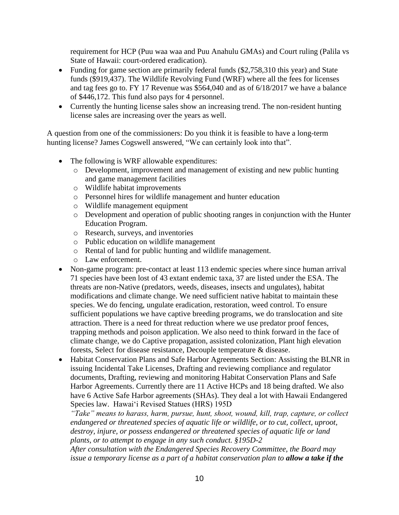requirement for HCP (Puu waa waa and Puu Anahulu GMAs) and Court ruling (Palila vs State of Hawaii: court-ordered eradication).

- Funding for game section are primarily federal funds (\$2,758,310 this year) and State funds (\$919,437). The Wildlife Revolving Fund (WRF) where all the fees for licenses and tag fees go to. FY 17 Revenue was \$564,040 and as of 6/18/2017 we have a balance of \$446,172. This fund also pays for 4 personnel.
- Currently the hunting license sales show an increasing trend. The non-resident hunting license sales are increasing over the years as well.

A question from one of the commissioners: Do you think it is feasible to have a long-term hunting license? James Cogswell answered, "We can certainly look into that".

- The following is WRF allowable expenditures:
	- o Development, improvement and management of existing and new public hunting and game management facilities
	- o Wildlife habitat improvements
	- o Personnel hires for wildlife management and hunter education
	- o Wildlife management equipment
	- o Development and operation of public shooting ranges in conjunction with the Hunter Education Program.
	- o Research, surveys, and inventories
	- o Public education on wildlife management
	- o Rental of land for public hunting and wildlife management.
	- o Law enforcement.
- Non-game program: pre-contact at least 113 endemic species where since human arrival 71 species have been lost of 43 extant endemic taxa, 37 are listed under the ESA. The threats are non-Native (predators, weeds, diseases, insects and ungulates), habitat modifications and climate change. We need sufficient native habitat to maintain these species. We do fencing, ungulate eradication, restoration, weed control. To ensure sufficient populations we have captive breeding programs, we do translocation and site attraction. There is a need for threat reduction where we use predator proof fences, trapping methods and poison application. We also need to think forward in the face of climate change, we do Captive propagation, assisted colonization, Plant high elevation forests, Select for disease resistance, Decouple temperature & disease.
- Habitat Conservation Plans and Safe Harbor Agreements Section: Assisting the BLNR in issuing Incidental Take Licenses, Drafting and reviewing compliance and regulator documents, Drafting, reviewing and monitoring Habitat Conservation Plans and Safe Harbor Agreements. Currently there are 11 Active HCPs and 18 being drafted. We also have 6 Active Safe Harbor agreements (SHAs). They deal a lot with Hawaii Endangered Species law. Hawai'i Revised Statues (HRS) 195D

*"Take" means to harass, harm, pursue, hunt, shoot, wound, kill, trap, capture, or collect endangered or threatened species of aquatic life or wildlife, or to cut, collect, uproot, destroy, injure, or possess endangered or threatened species of aquatic life or land plants, or to attempt to engage in any such conduct. §195D-2*

*After consultation with the Endangered Species Recovery Committee, the Board may issue a temporary license as a part of a habitat conservation plan to allow a take if the*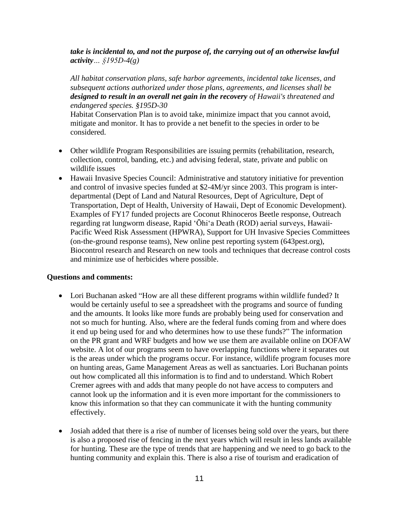### *take is incidental to, and not the purpose of, the carrying out of an otherwise lawful activity… §195D-4(g)*

*All habitat conservation plans, safe harbor agreements, incidental take licenses, and subsequent actions authorized under those plans, agreements, and licenses shall be designed to result in an overall net gain in the recovery of Hawaii's threatened and endangered species. §195D-30*

Habitat Conservation Plan is to avoid take, minimize impact that you cannot avoid, mitigate and monitor. It has to provide a net benefit to the species in order to be considered.

- Other wildlife Program Responsibilities are issuing permits (rehabilitation, research, collection, control, banding, etc.) and advising federal, state, private and public on wildlife issues
- Hawaii Invasive Species Council: Administrative and statutory initiative for prevention and control of invasive species funded at \$2-4M/yr since 2003. This program is interdepartmental (Dept of Land and Natural Resources, Dept of Agriculture, Dept of Transportation, Dept of Health, University of Hawaii, Dept of Economic Development). Examples of FY17 funded projects are Coconut Rhinoceros Beetle response, Outreach regarding rat lungworm disease, Rapid ʻŌhiʻa Death (ROD) aerial surveys, Hawaii‐ Pacific Weed Risk Assessment (HPWRA), Support for UH Invasive Species Committees (on-the-ground response teams), New online pest reporting system (643pest.org), Biocontrol research and Research on new tools and techniques that decrease control costs and minimize use of herbicides where possible.

### **Questions and comments:**

- Lori Buchanan asked "How are all these different programs within wildlife funded? It would be certainly useful to see a spreadsheet with the programs and source of funding and the amounts. It looks like more funds are probably being used for conservation and not so much for hunting. Also, where are the federal funds coming from and where does it end up being used for and who determines how to use these funds?" The information on the PR grant and WRF budgets and how we use them are available online on DOFAW website. A lot of our programs seem to have overlapping functions where it separates out is the areas under which the programs occur. For instance, wildlife program focuses more on hunting areas, Game Management Areas as well as sanctuaries. Lori Buchanan points out how complicated all this information is to find and to understand. Which Robert Cremer agrees with and adds that many people do not have access to computers and cannot look up the information and it is even more important for the commissioners to know this information so that they can communicate it with the hunting community effectively.
- Josiah added that there is a rise of number of licenses being sold over the years, but there is also a proposed rise of fencing in the next years which will result in less lands available for hunting. These are the type of trends that are happening and we need to go back to the hunting community and explain this. There is also a rise of tourism and eradication of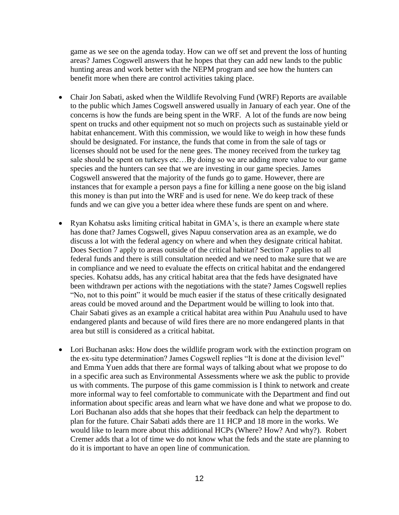game as we see on the agenda today. How can we off set and prevent the loss of hunting areas? James Cogswell answers that he hopes that they can add new lands to the public hunting areas and work better with the NEPM program and see how the hunters can benefit more when there are control activities taking place.

- Chair Jon Sabati, asked when the Wildlife Revolving Fund (WRF) Reports are available to the public which James Cogswell answered usually in January of each year. One of the concerns is how the funds are being spent in the WRF. A lot of the funds are now being spent on trucks and other equipment not so much on projects such as sustainable yield or habitat enhancement. With this commission, we would like to weigh in how these funds should be designated. For instance, the funds that come in from the sale of tags or licenses should not be used for the nene gees. The money received from the turkey tag sale should be spent on turkeys etc…By doing so we are adding more value to our game species and the hunters can see that we are investing in our game species. James Cogswell answered that the majority of the funds go to game. However, there are instances that for example a person pays a fine for killing a nene goose on the big island this money is than put into the WRF and is used for nene. We do keep track of these funds and we can give you a better idea where these funds are spent on and where.
- Ryan Kohatsu asks limiting critical habitat in GMA's, is there an example where state has done that? James Cogswell, gives Napuu conservation area as an example, we do discuss a lot with the federal agency on where and when they designate critical habitat. Does Section 7 apply to areas outside of the critical habitat? Section 7 applies to all federal funds and there is still consultation needed and we need to make sure that we are in compliance and we need to evaluate the effects on critical habitat and the endangered species. Kohatsu adds, has any critical habitat area that the feds have designated have been withdrawn per actions with the negotiations with the state? James Cogswell replies "No, not to this point" it would be much easier if the status of these critically designated areas could be moved around and the Department would be willing to look into that. Chair Sabati gives as an example a critical habitat area within Puu Anahulu used to have endangered plants and because of wild fires there are no more endangered plants in that area but still is considered as a critical habitat.
- Lori Buchanan asks: How does the wildlife program work with the extinction program on the ex-situ type determination? James Cogswell replies "It is done at the division level" and Emma Yuen adds that there are formal ways of talking about what we propose to do in a specific area such as Environmental Assessments where we ask the public to provide us with comments. The purpose of this game commission is I think to network and create more informal way to feel comfortable to communicate with the Department and find out information about specific areas and learn what we have done and what we propose to do. Lori Buchanan also adds that she hopes that their feedback can help the department to plan for the future. Chair Sabati adds there are 11 HCP and 18 more in the works. We would like to learn more about this additional HCPs (Where? How? And why?). Robert Cremer adds that a lot of time we do not know what the feds and the state are planning to do it is important to have an open line of communication.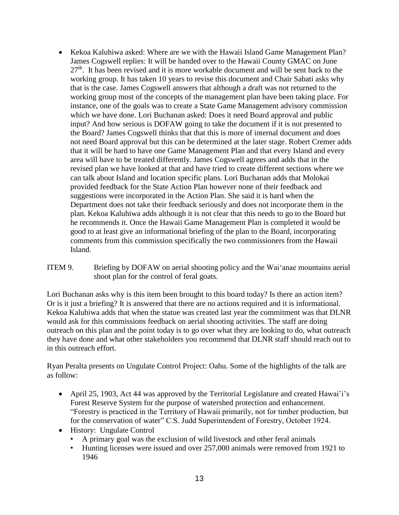- Kekoa Kaluhiwa asked: Where are we with the Hawaii Island Game Management Plan? James Cogswell replies: It will be handed over to the Hawaii County GMAC on June  $27<sup>th</sup>$ . It has been revised and it is more workable document and will be sent back to the working group. It has taken 10 years to revise this document and Chair Sabati asks why that is the case. James Cogswell answers that although a draft was not returned to the working group most of the concepts of the management plan have been taking place. For instance, one of the goals was to create a State Game Management advisory commission which we have done. Lori Buchanan asked: Does it need Board approval and public input? And how serious is DOFAW going to take the document if it is not presented to the Board? James Cogswell thinks that that this is more of internal document and does not need Board approval but this can be determined at the later stage. Robert Cremer adds that it will be hard to have one Game Management Plan and that every Island and every area will have to be treated differently. James Cogswell agrees and adds that in the revised plan we have looked at that and have tried to create different sections where we can talk about Island and location specific plans. Lori Buchanan adds that Molokai provided feedback for the State Action Plan however none of their feedback and suggestions were incorporated in the Action Plan. She said it is hard when the Department does not take their feedback seriously and does not incorporate them in the plan. Kekoa Kaluhiwa adds although it is not clear that this needs to go to the Board but he recommends it. Once the Hawaii Game Management Plan is completed it would be good to at least give an informational briefing of the plan to the Board, incorporating comments from this commission specifically the two commissioners from the Hawaii Island.
- ITEM 9. Briefing by DOFAW on aerial shooting policy and the Wai'anae mountains aerial shoot plan for the control of feral goats.

Lori Buchanan asks why is this item been brought to this board today? Is there an action item? Or is it just a briefing? It is answered that there are no actions required and it is informational. Kekoa Kaluhiwa adds that when the statue was created last year the commitment was that DLNR would ask for this commissions feedback on aerial shooting activities. The staff are doing outreach on this plan and the point today is to go over what they are looking to do, what outreach they have done and what other stakeholders you recommend that DLNR staff should reach out to in this outreach effort.

Ryan Peralta presents on Ungulate Control Project: Oahu. Some of the highlights of the talk are as follow:

- April 25, 1903, Act 44 was approved by the Territorial Legislature and created Hawai'i's Forest Reserve System for the purpose of watershed protection and enhancement. "Forestry is practiced in the Territory of Hawaii primarily, not for timber production, but for the conservation of water" C.S. Judd Superintendent of Forestry, October 1924.
- History: Ungulate Control
	- A primary goal was the exclusion of wild livestock and other feral animals
	- Hunting licenses were issued and over 257,000 animals were removed from 1921 to 1946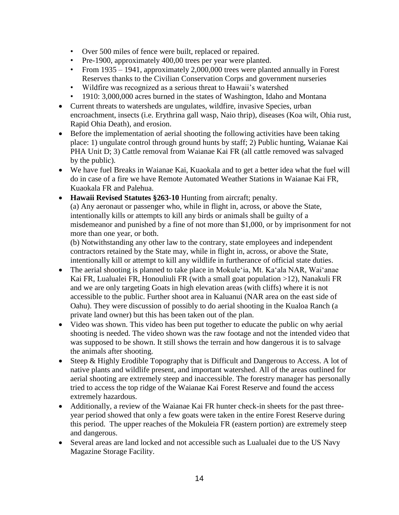- Over 500 miles of fence were built, replaced or repaired.
- Pre-1900, approximately 400,00 trees per year were planted.
- From 1935 1941, approximately 2,000,000 trees were planted annually in Forest Reserves thanks to the Civilian Conservation Corps and government nurseries
- Wildfire was recognized as a serious threat to Hawaii's watershed
- 1910: 3,000,000 acres burned in the states of Washington, Idaho and Montana
- Current threats to watersheds are ungulates, wildfire, invasive Species, urban encroachment, insects (i.e. Erythrina gall wasp, Naio thrip), diseases (Koa wilt, Ohia rust, Rapid Ohia Death), and erosion.
- Before the implementation of aerial shooting the following activities have been taking place: 1) ungulate control through ground hunts by staff; 2) Public hunting, Waianae Kai PHA Unit D; 3) Cattle removal from Waianae Kai FR (all cattle removed was salvaged by the public).
- We have fuel Breaks in Waianae Kai, Kuaokala and to get a better idea what the fuel will do in case of a fire we have Remote Automated Weather Stations in Waianae Kai FR, Kuaokala FR and Palehua.
- **Hawaii Revised Statutes §263-10** Hunting from aircraft; penalty. (a) Any aeronaut or passenger who, while in flight in, across, or above the State, intentionally kills or attempts to kill any birds or animals shall be guilty of a misdemeanor and punished by a fine of not more than \$1,000, or by imprisonment for not more than one year, or both.

(b) Notwithstanding any other law to the contrary, state employees and independent contractors retained by the State may, while in flight in, across, or above the State, intentionally kill or attempt to kill any wildlife in furtherance of official state duties.

- The aerial shooting is planned to take place in Mokule 'ia, Mt. Ka 'ala NAR, Wai 'anae Kai FR, Lualualei FR, Honouliuli FR (with a small goat population >12), Nanakuli FR and we are only targeting Goats in high elevation areas (with cliffs) where it is not accessible to the public. Further shoot area in Kaluanui (NAR area on the east side of Oahu). They were discussion of possibly to do aerial shooting in the Kualoa Ranch (a private land owner) but this has been taken out of the plan.
- Video was shown. This video has been put together to educate the public on why aerial shooting is needed. The video shown was the raw footage and not the intended video that was supposed to be shown. It still shows the terrain and how dangerous it is to salvage the animals after shooting.
- Steep & Highly Erodible Topography that is Difficult and Dangerous to Access. A lot of native plants and wildlife present, and important watershed. All of the areas outlined for aerial shooting are extremely steep and inaccessible. The forestry manager has personally tried to access the top ridge of the Waianae Kai Forest Reserve and found the access extremely hazardous.
- Additionally, a review of the Waianae Kai FR hunter check-in sheets for the past threeyear period showed that only a few goats were taken in the entire Forest Reserve during this period. The upper reaches of the Mokuleia FR (eastern portion) are extremely steep and dangerous.
- Several areas are land locked and not accessible such as Lualualei due to the US Navy Magazine Storage Facility.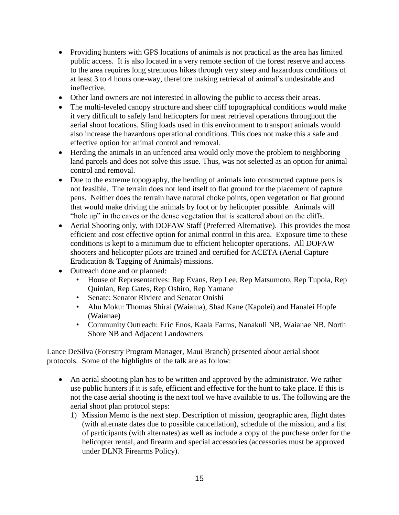- Providing hunters with GPS locations of animals is not practical as the area has limited public access. It is also located in a very remote section of the forest reserve and access to the area requires long strenuous hikes through very steep and hazardous conditions of at least 3 to 4 hours one-way, therefore making retrieval of animal's undesirable and ineffective.
- Other land owners are not interested in allowing the public to access their areas.
- The multi-leveled canopy structure and sheer cliff topographical conditions would make it very difficult to safely land helicopters for meat retrieval operations throughout the aerial shoot locations. Sling loads used in this environment to transport animals would also increase the hazardous operational conditions. This does not make this a safe and effective option for animal control and removal.
- Herding the animals in an unfenced area would only move the problem to neighboring land parcels and does not solve this issue. Thus, was not selected as an option for animal control and removal.
- Due to the extreme topography, the herding of animals into constructed capture pens is not feasible. The terrain does not lend itself to flat ground for the placement of capture pens. Neither does the terrain have natural choke points, open vegetation or flat ground that would make driving the animals by foot or by helicopter possible. Animals will "hole up" in the caves or the dense vegetation that is scattered about on the cliffs.
- Aerial Shooting only, with DOFAW Staff (Preferred Alternative). This provides the most efficient and cost effective option for animal control in this area. Exposure time to these conditions is kept to a minimum due to efficient helicopter operations. All DOFAW shooters and helicopter pilots are trained and certified for ACETA (Aerial Capture Eradication & Tagging of Animals) missions.
- Outreach done and or planned:
	- House of Representatives: Rep Evans, Rep Lee, Rep Matsumoto, Rep Tupola, Rep Quinlan, Rep Gates, Rep Oshiro, Rep Yamane
	- Senate: Senator Riviere and Senator Onishi
	- Ahu Moku: Thomas Shirai (Waialua), Shad Kane (Kapolei) and Hanalei Hopfe (Waianae)
	- Community Outreach: Eric Enos, Kaala Farms, Nanakuli NB, Waianae NB, North Shore NB and Adjacent Landowners

Lance DeSilva (Forestry Program Manager, Maui Branch) presented about aerial shoot protocols. Some of the highlights of the talk are as follow:

- An aerial shooting plan has to be written and approved by the administrator. We rather use public hunters if it is safe, efficient and effective for the hunt to take place. If this is not the case aerial shooting is the next tool we have available to us. The following are the aerial shoot plan protocol steps:
	- 1) Mission Memo is the next step. Description of mission, geographic area, flight dates (with alternate dates due to possible cancellation), schedule of the mission, and a list of participants (with alternates) as well as include a copy of the purchase order for the helicopter rental, and firearm and special accessories (accessories must be approved under DLNR Firearms Policy).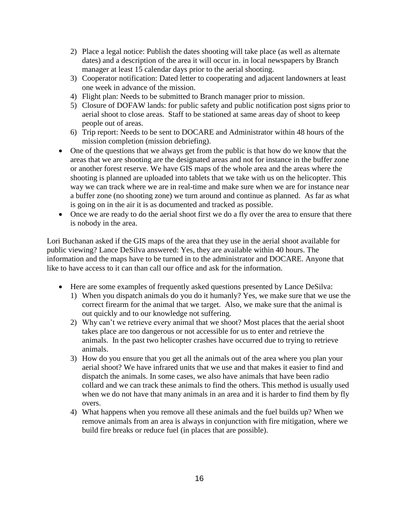- 2) Place a legal notice: Publish the dates shooting will take place (as well as alternate dates) and a description of the area it will occur in. in local newspapers by Branch manager at least 15 calendar days prior to the aerial shooting.
- 3) Cooperator notification: Dated letter to cooperating and adjacent landowners at least one week in advance of the mission.
- 4) Flight plan: Needs to be submitted to Branch manager prior to mission.
- 5) Closure of DOFAW lands: for public safety and public notification post signs prior to aerial shoot to close areas. Staff to be stationed at same areas day of shoot to keep people out of areas.
- 6) Trip report: Needs to be sent to DOCARE and Administrator within 48 hours of the mission completion (mission debriefing).
- One of the questions that we always get from the public is that how do we know that the areas that we are shooting are the designated areas and not for instance in the buffer zone or another forest reserve. We have GIS maps of the whole area and the areas where the shooting is planned are uploaded into tablets that we take with us on the helicopter. This way we can track where we are in real-time and make sure when we are for instance near a buffer zone (no shooting zone) we turn around and continue as planned. As far as what is going on in the air it is as documented and tracked as possible.
- Once we are ready to do the aerial shoot first we do a fly over the area to ensure that there is nobody in the area.

Lori Buchanan asked if the GIS maps of the area that they use in the aerial shoot available for public viewing? Lance DeSilva answered: Yes, they are available within 40 hours. The information and the maps have to be turned in to the administrator and DOCARE. Anyone that like to have access to it can than call our office and ask for the information.

- Here are some examples of frequently asked questions presented by Lance DeSilva:
	- 1) When you dispatch animals do you do it humanly? Yes, we make sure that we use the correct firearm for the animal that we target. Also, we make sure that the animal is out quickly and to our knowledge not suffering.
	- 2) Why can't we retrieve every animal that we shoot? Most places that the aerial shoot takes place are too dangerous or not accessible for us to enter and retrieve the animals. In the past two helicopter crashes have occurred due to trying to retrieve animals.
	- 3) How do you ensure that you get all the animals out of the area where you plan your aerial shoot? We have infrared units that we use and that makes it easier to find and dispatch the animals. In some cases, we also have animals that have been radio collard and we can track these animals to find the others. This method is usually used when we do not have that many animals in an area and it is harder to find them by fly overs.
	- 4) What happens when you remove all these animals and the fuel builds up? When we remove animals from an area is always in conjunction with fire mitigation, where we build fire breaks or reduce fuel (in places that are possible).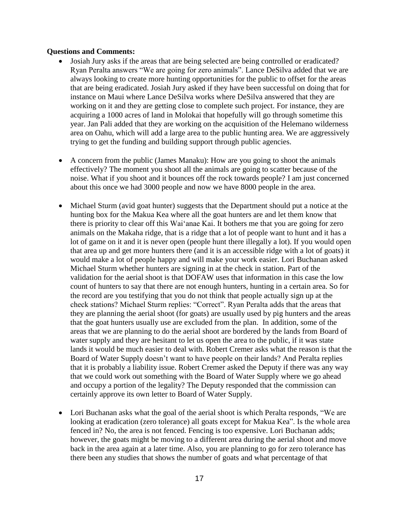#### **Questions and Comments:**

- Josiah Jury asks if the areas that are being selected are being controlled or eradicated? Ryan Peralta answers "We are going for zero animals". Lance DeSilva added that we are always looking to create more hunting opportunities for the public to offset for the areas that are being eradicated. Josiah Jury asked if they have been successful on doing that for instance on Maui where Lance DeSilva works where DeSilva answered that they are working on it and they are getting close to complete such project. For instance, they are acquiring a 1000 acres of land in Molokai that hopefully will go through sometime this year. Jan Pali added that they are working on the acquisition of the Helemano wilderness area on Oahu, which will add a large area to the public hunting area. We are aggressively trying to get the funding and building support through public agencies.
- A concern from the public (James Manaku): How are you going to shoot the animals effectively? The moment you shoot all the animals are going to scatter because of the noise. What if you shoot and it bounces off the rock towards people? I am just concerned about this once we had 3000 people and now we have 8000 people in the area.
- Michael Sturm (avid goat hunter) suggests that the Department should put a notice at the hunting box for the Makua Kea where all the goat hunters are and let them know that there is priority to clear off this Wai'anae Kai. It bothers me that you are going for zero animals on the Makaha ridge, that is a ridge that a lot of people want to hunt and it has a lot of game on it and it is never open (people hunt there illegally a lot). If you would open that area up and get more hunters there (and it is an accessible ridge with a lot of goats) it would make a lot of people happy and will make your work easier. Lori Buchanan asked Michael Sturm whether hunters are signing in at the check in station. Part of the validation for the aerial shoot is that DOFAW uses that information in this case the low count of hunters to say that there are not enough hunters, hunting in a certain area. So for the record are you testifying that you do not think that people actually sign up at the check stations? Michael Sturm replies: "Correct". Ryan Peralta adds that the areas that they are planning the aerial shoot (for goats) are usually used by pig hunters and the areas that the goat hunters usually use are excluded from the plan. In addition, some of the areas that we are planning to do the aerial shoot are bordered by the lands from Board of water supply and they are hesitant to let us open the area to the public, if it was state lands it would be much easier to deal with. Robert Cremer asks what the reason is that the Board of Water Supply doesn't want to have people on their lands? And Peralta replies that it is probably a liability issue. Robert Cremer asked the Deputy if there was any way that we could work out something with the Board of Water Supply where we go ahead and occupy a portion of the legality? The Deputy responded that the commission can certainly approve its own letter to Board of Water Supply.
- Lori Buchanan asks what the goal of the aerial shoot is which Peralta responds, "We are looking at eradication (zero tolerance) all goats except for Makua Kea". Is the whole area fenced in? No, the area is not fenced. Fencing is too expensive. Lori Buchanan adds; however, the goats might be moving to a different area during the aerial shoot and move back in the area again at a later time. Also, you are planning to go for zero tolerance has there been any studies that shows the number of goats and what percentage of that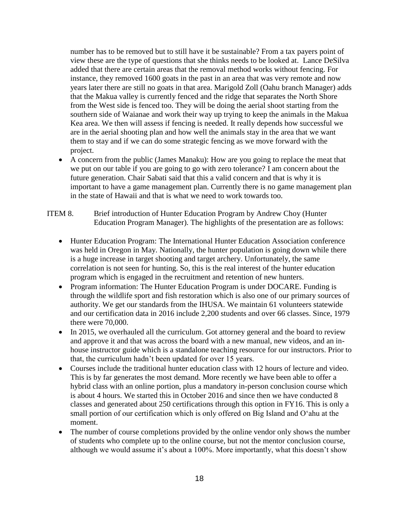number has to be removed but to still have it be sustainable? From a tax payers point of view these are the type of questions that she thinks needs to be looked at. Lance DeSilva added that there are certain areas that the removal method works without fencing. For instance, they removed 1600 goats in the past in an area that was very remote and now years later there are still no goats in that area. Marigold Zoll (Oahu branch Manager) adds that the Makua valley is currently fenced and the ridge that separates the North Shore from the West side is fenced too. They will be doing the aerial shoot starting from the southern side of Waianae and work their way up trying to keep the animals in the Makua Kea area. We then will assess if fencing is needed. It really depends how successful we are in the aerial shooting plan and how well the animals stay in the area that we want them to stay and if we can do some strategic fencing as we move forward with the project.

- A concern from the public (James Manaku): How are you going to replace the meat that we put on our table if you are going to go with zero tolerance? I am concern about the future generation. Chair Sabati said that this a valid concern and that is why it is important to have a game management plan. Currently there is no game management plan in the state of Hawaii and that is what we need to work towards too.
- ITEM 8. Brief introduction of Hunter Education Program by Andrew Choy (Hunter Education Program Manager). The highlights of the presentation are as follows:
	- Hunter Education Program: The International Hunter Education Association conference was held in Oregon in May. Nationally, the hunter population is going down while there is a huge increase in target shooting and target archery. Unfortunately, the same correlation is not seen for hunting. So, this is the real interest of the hunter education program which is engaged in the recruitment and retention of new hunters.
	- Program information: The Hunter Education Program is under DOCARE. Funding is through the wildlife sport and fish restoration which is also one of our primary sources of authority. We get our standards from the IHUSA. We maintain 61 volunteers statewide and our certification data in 2016 include 2,200 students and over 66 classes. Since, 1979 there were 70,000.
	- In 2015, we overhauled all the curriculum. Got attorney general and the board to review and approve it and that was across the board with a new manual, new videos, and an inhouse instructor guide which is a standalone teaching resource for our instructors. Prior to that, the curriculum hadn't been updated for over 15 years.
	- Courses include the traditional hunter education class with 12 hours of lecture and video. This is by far generates the most demand. More recently we have been able to offer a hybrid class with an online portion, plus a mandatory in-person conclusion course which is about 4 hours. We started this in October 2016 and since then we have conducted 8 classes and generated about 250 certifications through this option in FY16. This is only a small portion of our certification which is only offered on Big Island and Oʻahu at the moment.
	- The number of course completions provided by the online vendor only shows the number of students who complete up to the online course, but not the mentor conclusion course, although we would assume it's about a 100%. More importantly, what this doesn't show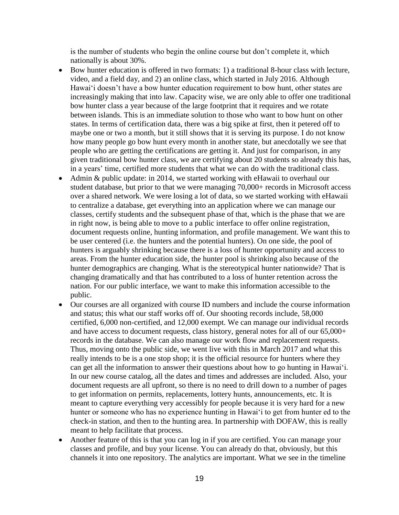is the number of students who begin the online course but don't complete it, which nationally is about 30%.

- Bow hunter education is offered in two formats: 1) a traditional 8-hour class with lecture, video, and a field day, and 2) an online class, which started in July 2016. Although Hawaiʻi doesn't have a bow hunter education requirement to bow hunt, other states are increasingly making that into law. Capacity wise, we are only able to offer one traditional bow hunter class a year because of the large footprint that it requires and we rotate between islands. This is an immediate solution to those who want to bow hunt on other states. In terms of certification data, there was a big spike at first, then it petered off to maybe one or two a month, but it still shows that it is serving its purpose. I do not know how many people go bow hunt every month in another state, but anecdotally we see that people who are getting the certifications are getting it. And just for comparison, in any given traditional bow hunter class, we are certifying about 20 students so already this has, in a years' time, certified more students that what we can do with the traditional class.
- Admin & public update: in 2014, we started working with eHawaii to overhaul our student database, but prior to that we were managing 70,000+ records in Microsoft access over a shared network. We were losing a lot of data, so we started working with eHawaii to centralize a database, get everything into an application where we can manage our classes, certify students and the subsequent phase of that, which is the phase that we are in right now, is being able to move to a public interface to offer online registration, document requests online, hunting information, and profile management. We want this to be user centered (i.e. the hunters and the potential hunters). On one side, the pool of hunters is arguably shrinking because there is a loss of hunter opportunity and access to areas. From the hunter education side, the hunter pool is shrinking also because of the hunter demographics are changing. What is the stereotypical hunter nationwide? That is changing dramatically and that has contributed to a loss of hunter retention across the nation. For our public interface, we want to make this information accessible to the public.
- Our courses are all organized with course ID numbers and include the course information and status; this what our staff works off of. Our shooting records include, 58,000 certified, 6,000 non-certified, and 12,000 exempt. We can manage our individual records and have access to document requests, class history, general notes for all of our 65,000+ records in the database. We can also manage our work flow and replacement requests. Thus, moving onto the public side, we went live with this in March 2017 and what this really intends to be is a one stop shop; it is the official resource for hunters where they can get all the information to answer their questions about how to go hunting in Hawaiʻi. In our new course catalog, all the dates and times and addresses are included. Also, your document requests are all upfront, so there is no need to drill down to a number of pages to get information on permits, replacements, lottery hunts, announcements, etc. It is meant to capture everything very accessibly for people because it is very hard for a new hunter or someone who has no experience hunting in Hawaiʻi to get from hunter ed to the check-in station, and then to the hunting area. In partnership with DOFAW, this is really meant to help facilitate that process.
- Another feature of this is that you can log in if you are certified. You can manage your classes and profile, and buy your license. You can already do that, obviously, but this channels it into one repository. The analytics are important. What we see in the timeline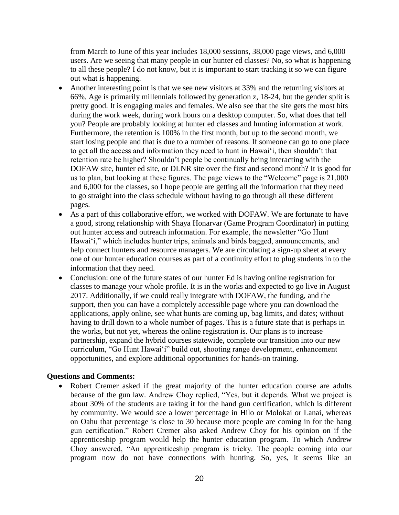from March to June of this year includes 18,000 sessions, 38,000 page views, and 6,000 users. Are we seeing that many people in our hunter ed classes? No, so what is happening to all these people? I do not know, but it is important to start tracking it so we can figure out what is happening.

- Another interesting point is that we see new visitors at 33% and the returning visitors at 66%. Age is primarily millennials followed by generation z, 18-24, but the gender split is pretty good. It is engaging males and females. We also see that the site gets the most hits during the work week, during work hours on a desktop computer. So, what does that tell you? People are probably looking at hunter ed classes and hunting information at work. Furthermore, the retention is 100% in the first month, but up to the second month, we start losing people and that is due to a number of reasons. If someone can go to one place to get all the access and information they need to hunt in Hawaiʻi, then shouldn't that retention rate be higher? Shouldn't people be continually being interacting with the DOFAW site, hunter ed site, or DLNR site over the first and second month? It is good for us to plan, but looking at these figures. The page views to the "Welcome" page is 21,000 and 6,000 for the classes, so I hope people are getting all the information that they need to go straight into the class schedule without having to go through all these different pages.
- As a part of this collaborative effort, we worked with DOFAW. We are fortunate to have a good, strong relationship with Shaya Honarvar (Game Program Coordinator) in putting out hunter access and outreach information. For example, the newsletter "Go Hunt Hawai'i," which includes hunter trips, animals and birds bagged, announcements, and help connect hunters and resource managers. We are circulating a sign-up sheet at every one of our hunter education courses as part of a continuity effort to plug students in to the information that they need.
- Conclusion: one of the future states of our hunter Ed is having online registration for classes to manage your whole profile. It is in the works and expected to go live in August 2017. Additionally, if we could really integrate with DOFAW, the funding, and the support, then you can have a completely accessible page where you can download the applications, apply online, see what hunts are coming up, bag limits, and dates; without having to drill down to a whole number of pages. This is a future state that is perhaps in the works, but not yet, whereas the online registration is. Our plans is to increase partnership, expand the hybrid courses statewide, complete our transition into our new curriculum, "Go Hunt Hawaiʻi" build out, shooting range development, enhancement opportunities, and explore additional opportunities for hands-on training.

#### **Questions and Comments:**

Robert Cremer asked if the great majority of the hunter education course are adults because of the gun law. Andrew Choy replied, "Yes, but it depends. What we project is about 30% of the students are taking it for the hand gun certification, which is different by community. We would see a lower percentage in Hilo or Molokai or Lanai, whereas on Oahu that percentage is close to 30 because more people are coming in for the hang gun certification." Robert Cremer also asked Andrew Choy for his opinion on if the apprenticeship program would help the hunter education program. To which Andrew Choy answered, "An apprenticeship program is tricky. The people coming into our program now do not have connections with hunting. So, yes, it seems like an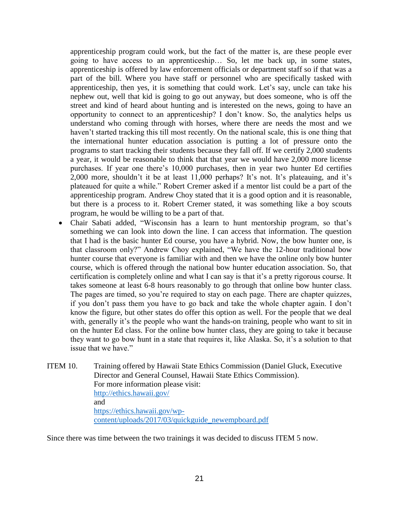apprenticeship program could work, but the fact of the matter is, are these people ever going to have access to an apprenticeship… So, let me back up, in some states, apprenticeship is offered by law enforcement officials or department staff so if that was a part of the bill. Where you have staff or personnel who are specifically tasked with apprenticeship, then yes, it is something that could work. Let's say, uncle can take his nephew out, well that kid is going to go out anyway, but does someone, who is off the street and kind of heard about hunting and is interested on the news, going to have an opportunity to connect to an apprenticeship? I don't know. So, the analytics helps us understand who coming through with horses, where there are needs the most and we haven't started tracking this till most recently. On the national scale, this is one thing that the international hunter education association is putting a lot of pressure onto the programs to start tracking their students because they fall off. If we certify 2,000 students a year, it would be reasonable to think that that year we would have 2,000 more license purchases. If year one there's 10,000 purchases, then in year two hunter Ed certifies 2,000 more, shouldn't it be at least 11,000 perhaps? It's not. It's plateauing, and it's plateaued for quite a while." Robert Cremer asked if a mentor list could be a part of the apprenticeship program. Andrew Choy stated that it is a good option and it is reasonable, but there is a process to it. Robert Cremer stated, it was something like a boy scouts program, he would be willing to be a part of that.

- Chair Sabati added, "Wisconsin has a learn to hunt mentorship program, so that's something we can look into down the line. I can access that information. The question that I had is the basic hunter Ed course, you have a hybrid. Now, the bow hunter one, is that classroom only?" Andrew Choy explained, "We have the 12-hour traditional bow hunter course that everyone is familiar with and then we have the online only bow hunter course, which is offered through the national bow hunter education association. So, that certification is completely online and what I can say is that it's a pretty rigorous course. It takes someone at least 6-8 hours reasonably to go through that online bow hunter class. The pages are timed, so you're required to stay on each page. There are chapter quizzes, if you don't pass them you have to go back and take the whole chapter again. I don't know the figure, but other states do offer this option as well. For the people that we deal with, generally it's the people who want the hands-on training, people who want to sit in on the hunter Ed class. For the online bow hunter class, they are going to take it because they want to go bow hunt in a state that requires it, like Alaska. So, it's a solution to that issue that we have."
- ITEM 10. Training offered by Hawaii State Ethics Commission (Daniel Gluck, Executive Director and General Counsel, Hawaii State Ethics Commission). For more information please visit: <http://ethics.hawaii.gov/> and [https://ethics.hawaii.gov/wp](https://ethics.hawaii.gov/wp-content/uploads/2017/03/quickguide_newempboard.pdf)[content/uploads/2017/03/quickguide\\_newempboard.pdf](https://ethics.hawaii.gov/wp-content/uploads/2017/03/quickguide_newempboard.pdf)

Since there was time between the two trainings it was decided to discuss ITEM 5 now.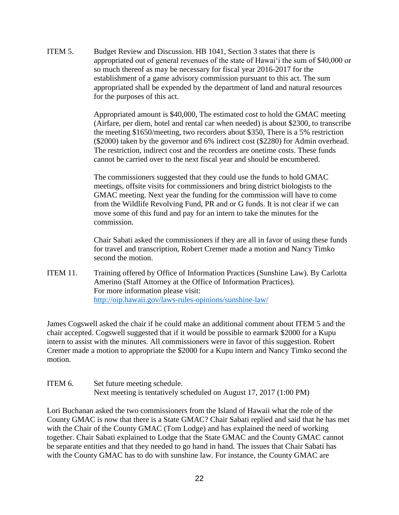ITEM 5. Budget Review and Discussion. HB 1041, Section 3 states that there is appropriated out of general revenues of the state of Hawai'i the sum of \$40,000 or so much thereof as may be necessary for fiscal year 2016-2017 for the establishment of a game advisory commission pursuant to this act. The sum appropriated shall be expended by the department of land and natural resources for the purposes of this act.

> Appropriated amount is \$40,000, The estimated cost to hold the GMAC meeting (Airfare, per diem, hotel and rental car when needed) is about \$2300, to transcribe the meeting \$1650/meeting, two recorders about \$350, There is a 5% restriction (\$2000) taken by the governor and 6% indirect cost (\$2280) for Admin overhead. The restriction, indirect cost and the recorders are onetime costs. These funds cannot be carried over to the next fiscal year and should be encumbered.

The commissioners suggested that they could use the funds to hold GMAC meetings, offsite visits for commissioners and bring district biologists to the GMAC meeting. Next year the funding for the commission will have to come from the Wildlife Revolving Fund, PR and or G funds. It is not clear if we can move some of this fund and pay for an intern to take the minutes for the commission.

Chair Sabati asked the commissioners if they are all in favor of using these funds for travel and transcription, Robert Cremer made a motion and Nancy Timko second the motion.

ITEM 11. Training offered by Office of Information Practices (Sunshine Law). By Carlotta Amerino (Staff Attorney at the Office of Information Practices). For more information please visit: <http://oip.hawaii.gov/laws-rules-opinions/sunshine-law/>

James Cogswell asked the chair if he could make an additional comment about ITEM 5 and the chair accepted. Cogswell suggested that if it would be possible to earmark \$2000 for a Kupu intern to assist with the minutes. All commissioners were in favor of this suggestion. Robert Cremer made a motion to appropriate the \$2000 for a Kupu intern and Nancy Timko second the motion.

ITEM 6. Set future meeting schedule. Next meeting is tentatively scheduled on August 17, 2017 (1:00 PM)

Lori Buchanan asked the two commissioners from the Island of Hawaii what the role of the County GMAC is now that there is a State GMAC? Chair Sabati replied and said that he has met with the Chair of the County GMAC (Tom Lodge) and has explained the need of working together. Chair Sabati explained to Lodge that the State GMAC and the County GMAC cannot be separate entities and that they needed to go hand in hand. The issues that Chair Sabati has with the County GMAC has to do with sunshine law. For instance, the County GMAC are